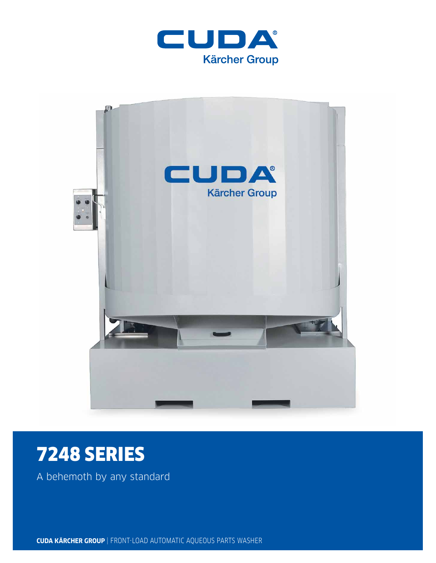



# 7248 SERIES

A behemoth by any standard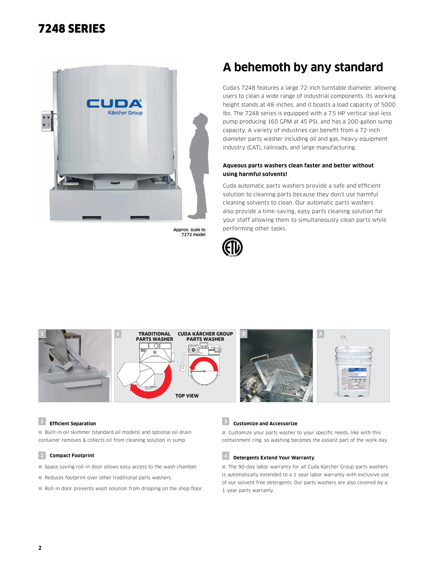### 7248 SERIES



Approx. scale to 7272 model

# **A behemoth by any standard**

Cuda's 7248 features a large 72-inch turntable diameter, allowing users to clean a wide range of industrial components. Its working height stands at 48-inches, and it boasts a load capacity of 5000 lbs. The 7248 series is equipped with a 7.5 HP vertical seal-less pump producing 160 GPM at 45 PSI, and has a 200-gallon sump capacity. A variety of industries can benefit from a 72-inch diameter parts washer including oil and gas, heavy equipment industry (CAT), railroads, and large manufacturing.

#### **Aqueous parts washers clean faster and better without using harmful solvents!**

Cuda automatic parts washers provide a safe and efficient solution to cleaning parts because they don't use harmful cleaning solvents to clean. Our automatic parts washers also provide a time-saving, easy parts cleaning solution for your staff allowing them to simultaneously clean parts while performing other tasks.





#### **<sup>1</sup> Efficient Separation**

■ Built-in oil skimmer (standard all models) and optional oil drain container removes & collects oil from cleaning solution in sump.

#### **2 Compact Footprint**

- Space saving roll-in door allows easy access to the wash chamber.
- Reduces footprint over other traditional parts washers.
- Roll-in door prevents wash solution from dripping on the shop floor.

#### **<sup>3</sup> Customize and Accessorize**

■ Customize your parts washer to your specific needs, like with this containment ring, so washing becomes the easiest part of the work day.

#### **<sup>4</sup> Detergents Extend Your Warranty**

■ The 90-day labor warranty for all Cuda Kärcher Group parts washers is automatically extended to a 1-year labor warranty with exclusive use of our solvent free detergents. Our parts washers are also covered by a 1-year parts warranty.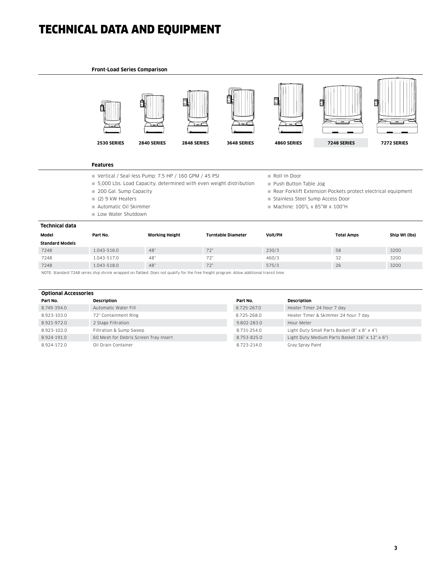## TECHNICAL DATA AND EQUIPMENT

#### **Front-Load Series Comparison**



#### **Features**

- Vertical / Seal-less Pump: 7.5 HP / 160 GPM / 45 PSI
- 5,000 Lbs. Load Capacity, determined with even weight distribution
- 200 Gal. Sump Capacity
- (2) 9 kW Heaters
- Automatic Oil Skimmer
- Low Water Shutdown
- Roll-In Door
- Push Button Table Jog
- Rear Forklift Extension Pockets protect electrical equipment
- Stainless Steel Sump Access Door
- $M$ Machine: 100"L x 85"W x 100"H

| Technical data         |             |                       |                           |         |                   |               |  |
|------------------------|-------------|-----------------------|---------------------------|---------|-------------------|---------------|--|
| Model                  | Part No.    | <b>Working Height</b> | <b>Turntable Diameter</b> | Volt/PH | <b>Total Amps</b> | Ship Wt (lbs) |  |
| <b>Standard Models</b> |             |                       |                           |         |                   |               |  |
| 7248                   | 1.043-516.0 | 48"                   | 72"                       | 230/3   | 58                | 3200          |  |
| 7248                   | 1.043-517.0 | 48"                   | 72"                       | 460/3   | 32                | 3200          |  |
| 7248                   | 1.043-518.0 | 48"                   | 72"                       | 575/3   | 26                | 3200          |  |

NOTE: Standard 7248 series ship shrink wrapped on flatbed. Does not qualify for the free freight program. Allow additional transit time.

| <b>Optional Accessories</b> |                                       |             |                                                 |  |  |  |
|-----------------------------|---------------------------------------|-------------|-------------------------------------------------|--|--|--|
| Part No.                    | <b>Description</b>                    | Part No.    | Description                                     |  |  |  |
| 8.749-394.0                 | Automatic Water Fill                  | 8.725-267.0 | Heater Timer 24 hour 7 day                      |  |  |  |
| 8.923-103.0                 | 72" Containment Ring                  | 8.725-268.0 | Heater Timer & Skimmer 24 hour 7 day            |  |  |  |
| 8.921-972.0                 | 2 Stage Filtration                    | 9.802-283.0 | Hour Meter                                      |  |  |  |
| 8.923-102.0                 | Filtration & Sump Sweep               | 8.731-254.0 | Light Duty Small Parts Basket (8" x 8" x 4")    |  |  |  |
| 8.924-191.0                 | 60 Mesh for Debris Screen Tray Insert | 8.753-825.0 | Light Duty Medium Parts Basket (16" x 12" x 6") |  |  |  |
| 8.924-172.0                 | Oil Drain Container                   | 8.723-214.0 | Gray Spray Paint                                |  |  |  |